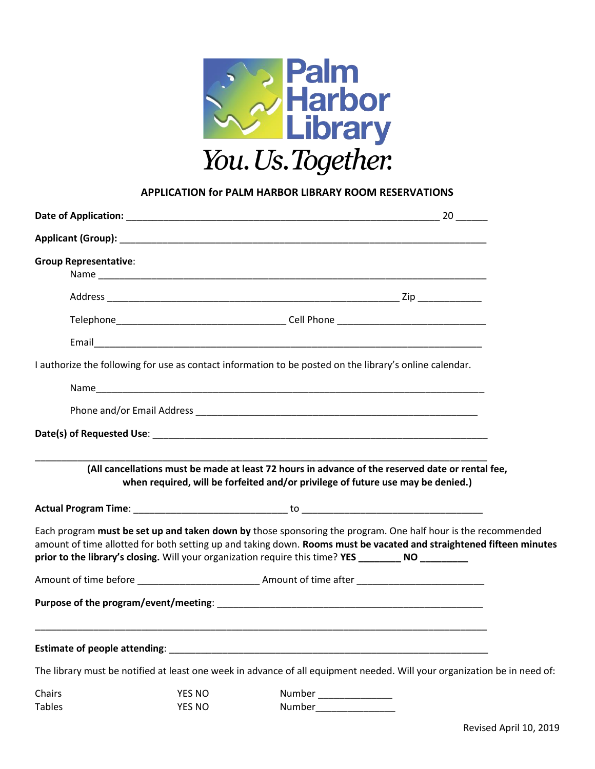

## **APPLICATION for PALM HARBOR LIBRARY ROOM RESERVATIONS**

| <b>Group Representative:</b> |               |                                                                                                                                                                                                                                                                                                                                            |  |
|------------------------------|---------------|--------------------------------------------------------------------------------------------------------------------------------------------------------------------------------------------------------------------------------------------------------------------------------------------------------------------------------------------|--|
|                              |               |                                                                                                                                                                                                                                                                                                                                            |  |
|                              |               |                                                                                                                                                                                                                                                                                                                                            |  |
|                              |               |                                                                                                                                                                                                                                                                                                                                            |  |
|                              |               | I authorize the following for use as contact information to be posted on the library's online calendar.                                                                                                                                                                                                                                    |  |
|                              |               |                                                                                                                                                                                                                                                                                                                                            |  |
|                              |               |                                                                                                                                                                                                                                                                                                                                            |  |
|                              |               |                                                                                                                                                                                                                                                                                                                                            |  |
|                              |               |                                                                                                                                                                                                                                                                                                                                            |  |
|                              |               | (All cancellations must be made at least 72 hours in advance of the reserved date or rental fee,<br>when required, will be forfeited and/or privilege of future use may be denied.)                                                                                                                                                        |  |
|                              |               |                                                                                                                                                                                                                                                                                                                                            |  |
|                              |               | Each program must be set up and taken down by those sponsoring the program. One half hour is the recommended<br>amount of time allotted for both setting up and taking down. Rooms must be vacated and straightened fifteen minutes<br>prior to the library's closing. Will your organization require this time? YES ________ NO _________ |  |
|                              |               | Amount of time before example a series and amount of time after                                                                                                                                                                                                                                                                            |  |
|                              |               |                                                                                                                                                                                                                                                                                                                                            |  |
|                              |               |                                                                                                                                                                                                                                                                                                                                            |  |
|                              |               |                                                                                                                                                                                                                                                                                                                                            |  |
|                              |               | The library must be notified at least one week in advance of all equipment needed. Will your organization be in need of:                                                                                                                                                                                                                   |  |
| Chairs                       | <b>YES NO</b> | Number _______________                                                                                                                                                                                                                                                                                                                     |  |
| <b>Tables</b>                | <b>YES NO</b> | Number                                                                                                                                                                                                                                                                                                                                     |  |